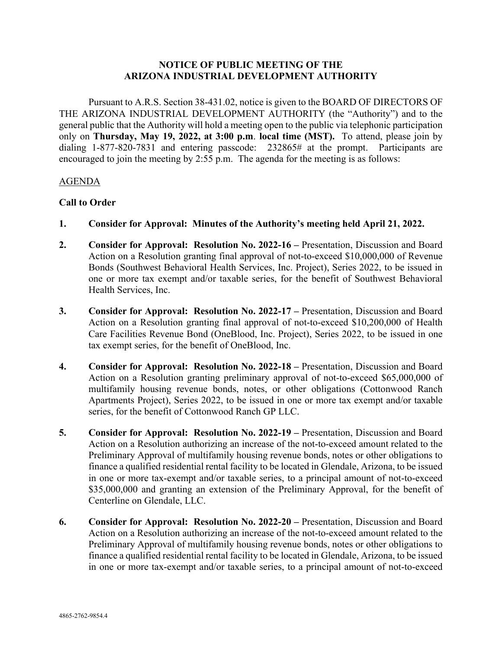# **NOTICE OF PUBLIC MEETING OF THE ARIZONA INDUSTRIAL DEVELOPMENT AUTHORITY**

Pursuant to A.R.S. Section 38-431.02, notice is given to the BOARD OF DIRECTORS OF THE ARIZONA INDUSTRIAL DEVELOPMENT AUTHORITY (the "Authority") and to the general public that the Authority will hold a meeting open to the public via telephonic participation only on **Thursday, May 19, 2022, at 3:00 p.m**. **local time (MST).** To attend, please join by dialing 1-877-820-7831 and entering passcode:232865# at the prompt. Participants are encouraged to join the meeting by 2:55 p.m. The agenda for the meeting is as follows:

#### AGENDA

#### **Call to Order**

- **1. Consider for Approval: Minutes of the Authority's meeting held April 21, 2022.**
- **2. Consider for Approval: Resolution No. 2022-16 –** Presentation, Discussion and Board Action on a Resolution granting final approval of not-to-exceed \$10,000,000 of Revenue Bonds (Southwest Behavioral Health Services, Inc. Project), Series 2022, to be issued in one or more tax exempt and/or taxable series, for the benefit of Southwest Behavioral Health Services, Inc.
- **3. Consider for Approval: Resolution No. 2022-17 –** Presentation, Discussion and Board Action on a Resolution granting final approval of not-to-exceed \$10,200,000 of Health Care Facilities Revenue Bond (OneBlood, Inc. Project), Series 2022, to be issued in one tax exempt series, for the benefit of OneBlood, Inc.
- **4. Consider for Approval: Resolution No. 2022-18 –** Presentation, Discussion and Board Action on a Resolution granting preliminary approval of not-to-exceed \$65,000,000 of multifamily housing revenue bonds, notes, or other obligations (Cottonwood Ranch Apartments Project), Series 2022, to be issued in one or more tax exempt and/or taxable series, for the benefit of Cottonwood Ranch GP LLC.
- **5. Consider for Approval: Resolution No. 2022-19 –** Presentation, Discussion and Board Action on a Resolution authorizing an increase of the not-to-exceed amount related to the Preliminary Approval of multifamily housing revenue bonds, notes or other obligations to finance a qualified residential rental facility to be located in Glendale, Arizona, to be issued in one or more tax-exempt and/or taxable series, to a principal amount of not-to-exceed \$35,000,000 and granting an extension of the Preliminary Approval, for the benefit of Centerline on Glendale, LLC.
- **6. Consider for Approval: Resolution No. 2022-20 –** Presentation, Discussion and Board Action on a Resolution authorizing an increase of the not-to-exceed amount related to the Preliminary Approval of multifamily housing revenue bonds, notes or other obligations to finance a qualified residential rental facility to be located in Glendale, Arizona, to be issued in one or more tax-exempt and/or taxable series, to a principal amount of not-to-exceed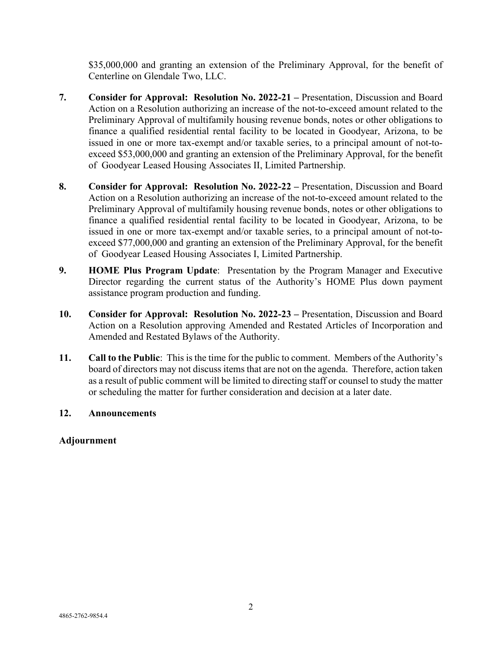\$35,000,000 and granting an extension of the Preliminary Approval, for the benefit of Centerline on Glendale Two, LLC.

- **7. Consider for Approval: Resolution No. 2022-21 –** Presentation, Discussion and Board Action on a Resolution authorizing an increase of the not-to-exceed amount related to the Preliminary Approval of multifamily housing revenue bonds, notes or other obligations to finance a qualified residential rental facility to be located in Goodyear, Arizona, to be issued in one or more tax-exempt and/or taxable series, to a principal amount of not-toexceed \$53,000,000 and granting an extension of the Preliminary Approval, for the benefit of Goodyear Leased Housing Associates II, Limited Partnership.
- **8. Consider for Approval: Resolution No. 2022-22 –** Presentation, Discussion and Board Action on a Resolution authorizing an increase of the not-to-exceed amount related to the Preliminary Approval of multifamily housing revenue bonds, notes or other obligations to finance a qualified residential rental facility to be located in Goodyear, Arizona, to be issued in one or more tax-exempt and/or taxable series, to a principal amount of not-toexceed \$77,000,000 and granting an extension of the Preliminary Approval, for the benefit of Goodyear Leased Housing Associates I, Limited Partnership.
- **9. HOME Plus Program Update**: Presentation by the Program Manager and Executive Director regarding the current status of the Authority's HOME Plus down payment assistance program production and funding.
- **10. Consider for Approval: Resolution No. 2022-23 –** Presentation, Discussion and Board Action on a Resolution approving Amended and Restated Articles of Incorporation and Amended and Restated Bylaws of the Authority.
- **11. Call to the Public**: This is the time for the public to comment. Members of the Authority's board of directors may not discuss items that are not on the agenda. Therefore, action taken as a result of public comment will be limited to directing staff or counsel to study the matter or scheduling the matter for further consideration and decision at a later date.

# **12. Announcements**

# **Adjournment**